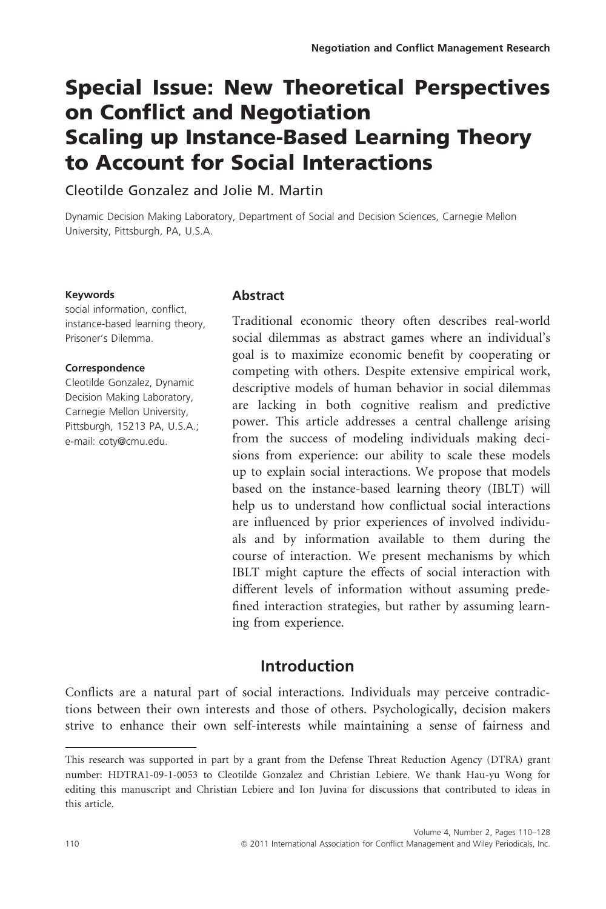# Special Issue: New Theoretical Perspectives on Conflict and Negotiation Scaling up Instance-Based Learning Theory to Account for Social Interactions

Cleotilde Gonzalez and Jolie M. Martin

Dynamic Decision Making Laboratory, Department of Social and Decision Sciences, Carnegie Mellon University, Pittsburgh, PA, U.S.A.

#### Keywords

social information, conflict, instance-based learning theory, Prisoner's Dilemma.

#### Correspondence

Cleotilde Gonzalez, Dynamic Decision Making Laboratory, Carnegie Mellon University, Pittsburgh, 15213 PA, U.S.A.; e-mail: coty@cmu.edu.

#### **Abstract**

Traditional economic theory often describes real-world social dilemmas as abstract games where an individual's goal is to maximize economic benefit by cooperating or competing with others. Despite extensive empirical work, descriptive models of human behavior in social dilemmas are lacking in both cognitive realism and predictive power. This article addresses a central challenge arising from the success of modeling individuals making decisions from experience: our ability to scale these models up to explain social interactions. We propose that models based on the instance-based learning theory (IBLT) will help us to understand how conflictual social interactions are influenced by prior experiences of involved individuals and by information available to them during the course of interaction. We present mechanisms by which IBLT might capture the effects of social interaction with different levels of information without assuming predefined interaction strategies, but rather by assuming learning from experience.

## Introduction

Conflicts are a natural part of social interactions. Individuals may perceive contradictions between their own interests and those of others. Psychologically, decision makers strive to enhance their own self-interests while maintaining a sense of fairness and

This research was supported in part by a grant from the Defense Threat Reduction Agency (DTRA) grant number: HDTRA1-09-1-0053 to Cleotilde Gonzalez and Christian Lebiere. We thank Hau-yu Wong for editing this manuscript and Christian Lebiere and Ion Juvina for discussions that contributed to ideas in this article.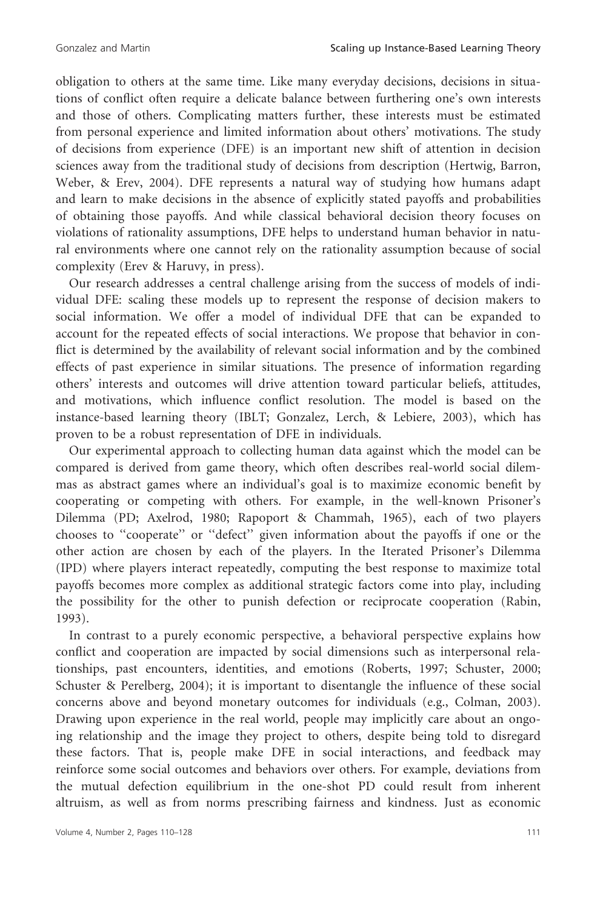obligation to others at the same time. Like many everyday decisions, decisions in situations of conflict often require a delicate balance between furthering one's own interests and those of others. Complicating matters further, these interests must be estimated from personal experience and limited information about others' motivations. The study of decisions from experience (DFE) is an important new shift of attention in decision sciences away from the traditional study of decisions from description (Hertwig, Barron, Weber, & Erev, 2004). DFE represents a natural way of studying how humans adapt and learn to make decisions in the absence of explicitly stated payoffs and probabilities of obtaining those payoffs. And while classical behavioral decision theory focuses on violations of rationality assumptions, DFE helps to understand human behavior in natural environments where one cannot rely on the rationality assumption because of social complexity (Erev & Haruvy, in press).

Our research addresses a central challenge arising from the success of models of individual DFE: scaling these models up to represent the response of decision makers to social information. We offer a model of individual DFE that can be expanded to account for the repeated effects of social interactions. We propose that behavior in conflict is determined by the availability of relevant social information and by the combined effects of past experience in similar situations. The presence of information regarding others' interests and outcomes will drive attention toward particular beliefs, attitudes, and motivations, which influence conflict resolution. The model is based on the instance-based learning theory (IBLT; Gonzalez, Lerch, & Lebiere, 2003), which has proven to be a robust representation of DFE in individuals.

Our experimental approach to collecting human data against which the model can be compared is derived from game theory, which often describes real-world social dilemmas as abstract games where an individual's goal is to maximize economic benefit by cooperating or competing with others. For example, in the well-known Prisoner's Dilemma (PD; Axelrod, 1980; Rapoport & Chammah, 1965), each of two players chooses to ''cooperate'' or ''defect'' given information about the payoffs if one or the other action are chosen by each of the players. In the Iterated Prisoner's Dilemma (IPD) where players interact repeatedly, computing the best response to maximize total payoffs becomes more complex as additional strategic factors come into play, including the possibility for the other to punish defection or reciprocate cooperation (Rabin, 1993).

In contrast to a purely economic perspective, a behavioral perspective explains how conflict and cooperation are impacted by social dimensions such as interpersonal relationships, past encounters, identities, and emotions (Roberts, 1997; Schuster, 2000; Schuster & Perelberg, 2004); it is important to disentangle the influence of these social concerns above and beyond monetary outcomes for individuals (e.g., Colman, 2003). Drawing upon experience in the real world, people may implicitly care about an ongoing relationship and the image they project to others, despite being told to disregard these factors. That is, people make DFE in social interactions, and feedback may reinforce some social outcomes and behaviors over others. For example, deviations from the mutual defection equilibrium in the one-shot PD could result from inherent altruism, as well as from norms prescribing fairness and kindness. Just as economic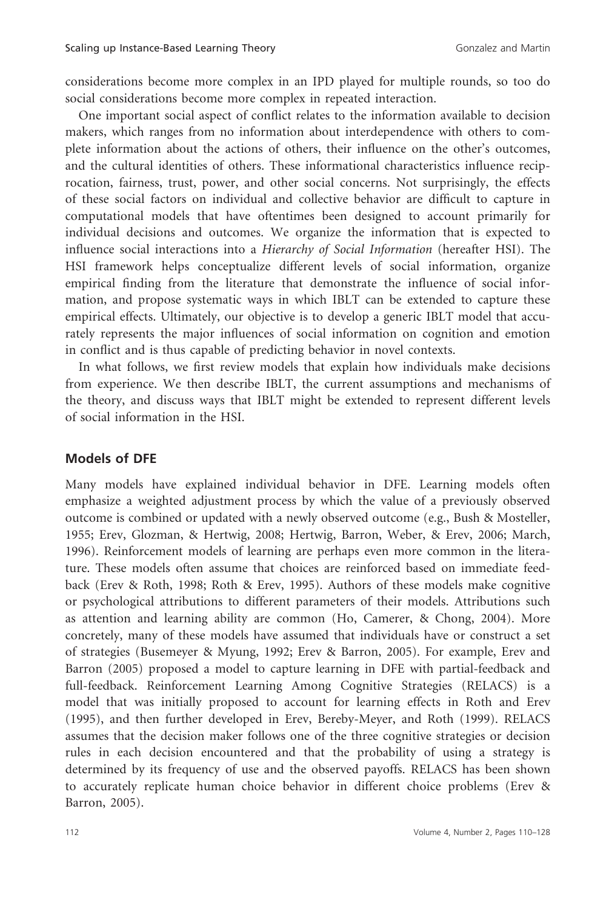considerations become more complex in an IPD played for multiple rounds, so too do social considerations become more complex in repeated interaction.

One important social aspect of conflict relates to the information available to decision makers, which ranges from no information about interdependence with others to complete information about the actions of others, their influence on the other's outcomes, and the cultural identities of others. These informational characteristics influence reciprocation, fairness, trust, power, and other social concerns. Not surprisingly, the effects of these social factors on individual and collective behavior are difficult to capture in computational models that have oftentimes been designed to account primarily for individual decisions and outcomes. We organize the information that is expected to influence social interactions into a Hierarchy of Social Information (hereafter HSI). The HSI framework helps conceptualize different levels of social information, organize empirical finding from the literature that demonstrate the influence of social information, and propose systematic ways in which IBLT can be extended to capture these empirical effects. Ultimately, our objective is to develop a generic IBLT model that accurately represents the major influences of social information on cognition and emotion in conflict and is thus capable of predicting behavior in novel contexts.

In what follows, we first review models that explain how individuals make decisions from experience. We then describe IBLT, the current assumptions and mechanisms of the theory, and discuss ways that IBLT might be extended to represent different levels of social information in the HSI.

#### Models of DFE

Many models have explained individual behavior in DFE. Learning models often emphasize a weighted adjustment process by which the value of a previously observed outcome is combined or updated with a newly observed outcome (e.g., Bush & Mosteller, 1955; Erev, Glozman, & Hertwig, 2008; Hertwig, Barron, Weber, & Erev, 2006; March, 1996). Reinforcement models of learning are perhaps even more common in the literature. These models often assume that choices are reinforced based on immediate feedback (Erev & Roth, 1998; Roth & Erev, 1995). Authors of these models make cognitive or psychological attributions to different parameters of their models. Attributions such as attention and learning ability are common (Ho, Camerer, & Chong, 2004). More concretely, many of these models have assumed that individuals have or construct a set of strategies (Busemeyer & Myung, 1992; Erev & Barron, 2005). For example, Erev and Barron (2005) proposed a model to capture learning in DFE with partial-feedback and full-feedback. Reinforcement Learning Among Cognitive Strategies (RELACS) is a model that was initially proposed to account for learning effects in Roth and Erev (1995), and then further developed in Erev, Bereby-Meyer, and Roth (1999). RELACS assumes that the decision maker follows one of the three cognitive strategies or decision rules in each decision encountered and that the probability of using a strategy is determined by its frequency of use and the observed payoffs. RELACS has been shown to accurately replicate human choice behavior in different choice problems (Erev & Barron, 2005).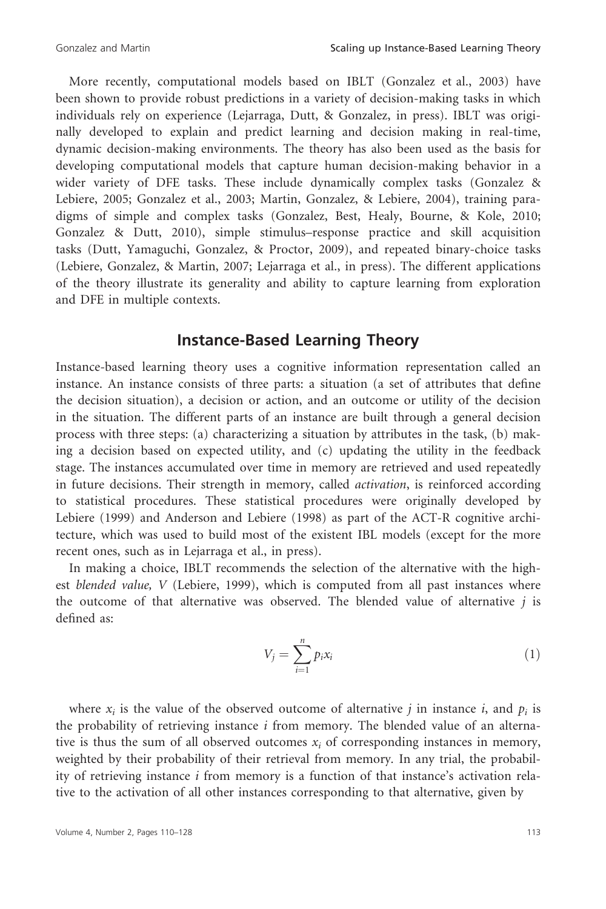More recently, computational models based on IBLT (Gonzalez et al., 2003) have been shown to provide robust predictions in a variety of decision-making tasks in which individuals rely on experience (Lejarraga, Dutt, & Gonzalez, in press). IBLT was originally developed to explain and predict learning and decision making in real-time, dynamic decision-making environments. The theory has also been used as the basis for developing computational models that capture human decision-making behavior in a wider variety of DFE tasks. These include dynamically complex tasks (Gonzalez & Lebiere, 2005; Gonzalez et al., 2003; Martin, Gonzalez, & Lebiere, 2004), training paradigms of simple and complex tasks (Gonzalez, Best, Healy, Bourne, & Kole, 2010; Gonzalez & Dutt, 2010), simple stimulus–response practice and skill acquisition tasks (Dutt, Yamaguchi, Gonzalez, & Proctor, 2009), and repeated binary-choice tasks (Lebiere, Gonzalez, & Martin, 2007; Lejarraga et al., in press). The different applications of the theory illustrate its generality and ability to capture learning from exploration and DFE in multiple contexts.

# Instance-Based Learning Theory

Instance-based learning theory uses a cognitive information representation called an instance. An instance consists of three parts: a situation (a set of attributes that define the decision situation), a decision or action, and an outcome or utility of the decision in the situation. The different parts of an instance are built through a general decision process with three steps: (a) characterizing a situation by attributes in the task, (b) making a decision based on expected utility, and (c) updating the utility in the feedback stage. The instances accumulated over time in memory are retrieved and used repeatedly in future decisions. Their strength in memory, called activation, is reinforced according to statistical procedures. These statistical procedures were originally developed by Lebiere (1999) and Anderson and Lebiere (1998) as part of the ACT-R cognitive architecture, which was used to build most of the existent IBL models (except for the more recent ones, such as in Lejarraga et al., in press).

In making a choice, IBLT recommends the selection of the alternative with the highest blended value, V (Lebiere, 1999), which is computed from all past instances where the outcome of that alternative was observed. The blended value of alternative  $j$  is defined as:

$$
V_j = \sum_{i=1}^n p_i x_i \tag{1}
$$

where  $x_i$  is the value of the observed outcome of alternative j in instance i, and  $p_i$  is the probability of retrieving instance  $i$  from memory. The blended value of an alternative is thus the sum of all observed outcomes  $x_i$  of corresponding instances in memory, weighted by their probability of their retrieval from memory. In any trial, the probability of retrieving instance  $i$  from memory is a function of that instance's activation relative to the activation of all other instances corresponding to that alternative, given by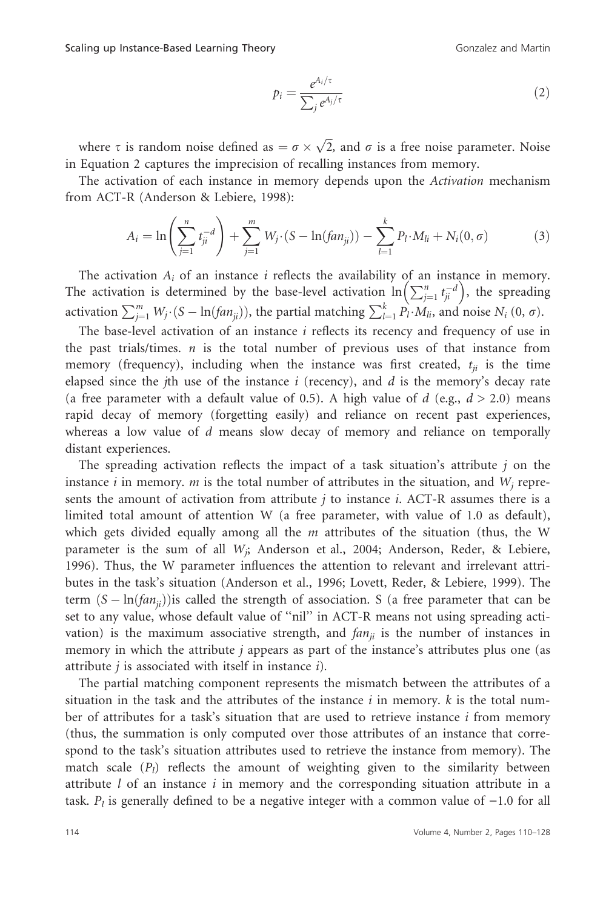Scaling up Instance-Based Learning Theory Gonzalez and Martin Gonzalez and Martin

$$
p_i = \frac{e^{A_i/\tau}}{\sum_j e^{A_j/\tau}}\tag{2}
$$

where  $\tau$  is random noise defined as  $= \sigma \times \sqrt{2}$ , and  $\sigma$  is a free noise parameter. Noise in Equation 2 captures the imprecision of recalling instances from memory.

The activation of each instance in memory depends upon the Activation mechanism from ACT-R (Anderson & Lebiere, 1998):

$$
A_i = \ln\left(\sum_{j=1}^n t_{ji}^{-d}\right) + \sum_{j=1}^m W_j \cdot (S - \ln(fan_{ji})) - \sum_{l=1}^k P_l \cdot M_{li} + N_i(0, \sigma) \tag{3}
$$

The activation  $A_i$  of an instance i reflects the availability of an instance in memory. The activation  $A_i$  of an instance t reflects the availability of an instance in memory.<br>The activation is determined by the base-level activation  $\ln\left(\sum_{j=1}^n t_{ji}^{-d}\right)$ , the spreading activation  $\sum_{j=1}^m W_j \cdot (S - \ln(\tan_{ji}))$ , the partial matching  $\sum_{l=1}^k P_l \cdot M_{li}$ , and noise  $N_i$  (0,  $\sigma$ ).

The base-level activation of an instance  $i$  reflects its recency and frequency of use in the past trials/times.  $n$  is the total number of previous uses of that instance from memory (frequency), including when the instance was first created,  $t_{ii}$  is the time elapsed since the jth use of the instance  $i$  (recency), and  $d$  is the memory's decay rate (a free parameter with a default value of 0.5). A high value of  $d$  (e.g.,  $d > 2.0$ ) means rapid decay of memory (forgetting easily) and reliance on recent past experiences, whereas a low value of  $d$  means slow decay of memory and reliance on temporally distant experiences.

The spreading activation reflects the impact of a task situation's attribute  $j$  on the instance  $i$  in memory.  $m$  is the total number of attributes in the situation, and  $W_i$  represents the amount of activation from attribute  $j$  to instance  $i$ . ACT-R assumes there is a limited total amount of attention W (a free parameter, with value of 1.0 as default), which gets divided equally among all the  $m$  attributes of the situation (thus, the W parameter is the sum of all W<sub>j</sub>; Anderson et al., 2004; Anderson, Reder, & Lebiere, 1996). Thus, the W parameter influences the attention to relevant and irrelevant attributes in the task's situation (Anderson et al., 1996; Lovett, Reder, & Lebiere, 1999). The term  $(S - ln(fan_{ii}))$  is called the strength of association. S (a free parameter that can be set to any value, whose default value of ''nil'' in ACT-R means not using spreading activation) is the maximum associative strength, and  $fan_{ii}$  is the number of instances in memory in which the attribute  $j$  appears as part of the instance's attributes plus one (as attribute  $j$  is associated with itself in instance  $i$ ).

The partial matching component represents the mismatch between the attributes of a situation in the task and the attributes of the instance  $i$  in memory.  $k$  is the total number of attributes for a task's situation that are used to retrieve instance  $i$  from memory (thus, the summation is only computed over those attributes of an instance that correspond to the task's situation attributes used to retrieve the instance from memory). The match scale  $(P_l)$  reflects the amount of weighting given to the similarity between attribute  $l$  of an instance  $i$  in memory and the corresponding situation attribute in a task.  $P_l$  is generally defined to be a negative integer with a common value of  $-1.0$  for all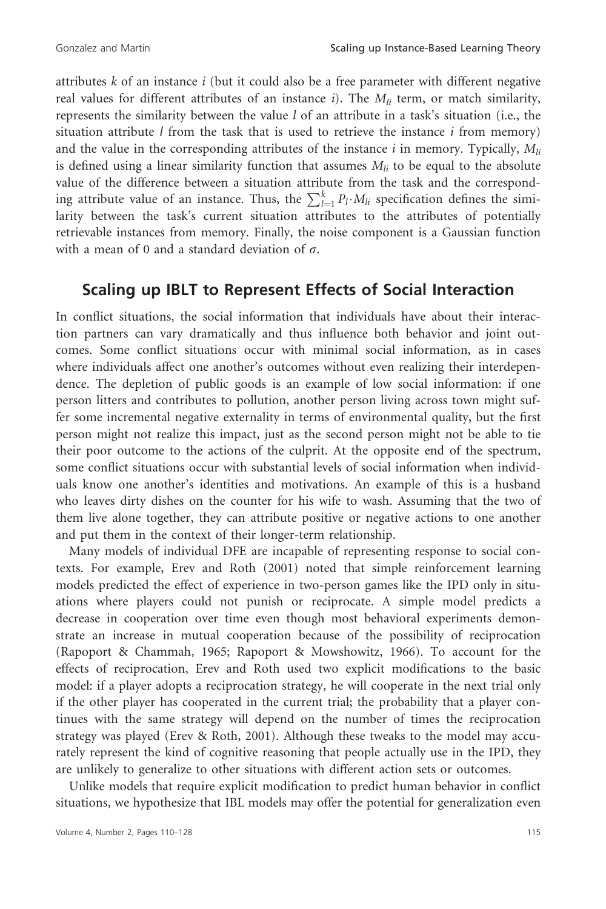attributes  $k$  of an instance  $i$  (but it could also be a free parameter with different negative real values for different attributes of an instance i). The  $M_{li}$  term, or match similarity, represents the similarity between the value  $l$  of an attribute in a task's situation (i.e., the situation attribute  $l$  from the task that is used to retrieve the instance  $i$  from memory) and the value in the corresponding attributes of the instance  $i$  in memory. Typically,  $M_{li}$ is defined using a linear similarity function that assumes  $M_{li}$  to be equal to the absolute value of the difference between a situation attribute from the task and the corresponding attribute value of an instance. Thus, the  $\sum_{l=1}^{k} P_l \cdot M_{li}$  specification defines the similarity between the task's current situation attributes to the attributes of potentially retrievable instances from memory. Finally, the noise component is a Gaussian function with a mean of 0 and a standard deviation of  $\sigma$ .

# Scaling up IBLT to Represent Effects of Social Interaction

In conflict situations, the social information that individuals have about their interaction partners can vary dramatically and thus influence both behavior and joint outcomes. Some conflict situations occur with minimal social information, as in cases where individuals affect one another's outcomes without even realizing their interdependence. The depletion of public goods is an example of low social information: if one person litters and contributes to pollution, another person living across town might suffer some incremental negative externality in terms of environmental quality, but the first person might not realize this impact, just as the second person might not be able to tie their poor outcome to the actions of the culprit. At the opposite end of the spectrum, some conflict situations occur with substantial levels of social information when individuals know one another's identities and motivations. An example of this is a husband who leaves dirty dishes on the counter for his wife to wash. Assuming that the two of them live alone together, they can attribute positive or negative actions to one another and put them in the context of their longer-term relationship.

Many models of individual DFE are incapable of representing response to social contexts. For example, Erev and Roth (2001) noted that simple reinforcement learning models predicted the effect of experience in two-person games like the IPD only in situations where players could not punish or reciprocate. A simple model predicts a decrease in cooperation over time even though most behavioral experiments demonstrate an increase in mutual cooperation because of the possibility of reciprocation (Rapoport & Chammah, 1965; Rapoport & Mowshowitz, 1966). To account for the effects of reciprocation, Erev and Roth used two explicit modifications to the basic model: if a player adopts a reciprocation strategy, he will cooperate in the next trial only if the other player has cooperated in the current trial; the probability that a player continues with the same strategy will depend on the number of times the reciprocation strategy was played (Erev & Roth, 2001). Although these tweaks to the model may accurately represent the kind of cognitive reasoning that people actually use in the IPD, they are unlikely to generalize to other situations with different action sets or outcomes.

Unlike models that require explicit modification to predict human behavior in conflict situations, we hypothesize that IBL models may offer the potential for generalization even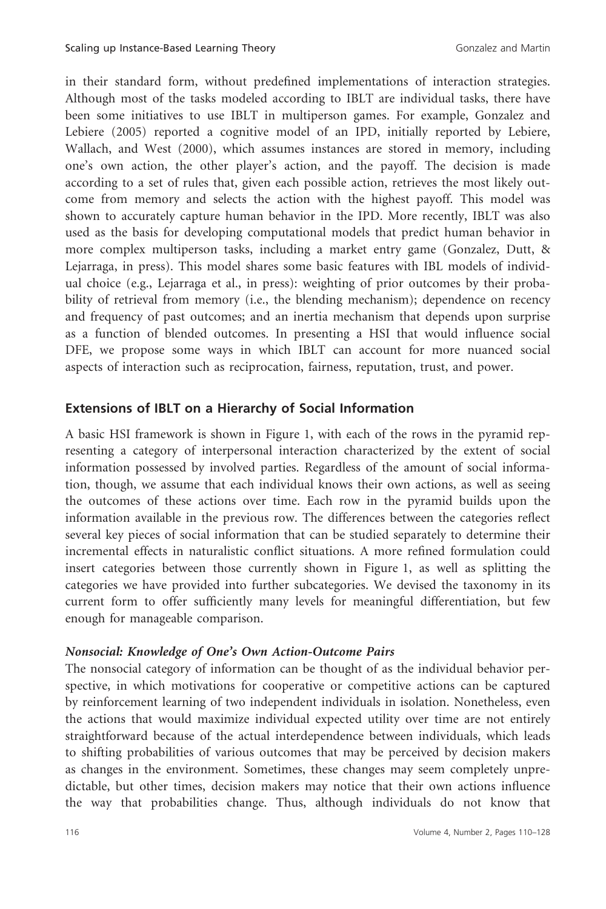in their standard form, without predefined implementations of interaction strategies. Although most of the tasks modeled according to IBLT are individual tasks, there have been some initiatives to use IBLT in multiperson games. For example, Gonzalez and Lebiere (2005) reported a cognitive model of an IPD, initially reported by Lebiere, Wallach, and West (2000), which assumes instances are stored in memory, including one's own action, the other player's action, and the payoff. The decision is made according to a set of rules that, given each possible action, retrieves the most likely outcome from memory and selects the action with the highest payoff. This model was shown to accurately capture human behavior in the IPD. More recently, IBLT was also used as the basis for developing computational models that predict human behavior in more complex multiperson tasks, including a market entry game (Gonzalez, Dutt, & Lejarraga, in press). This model shares some basic features with IBL models of individual choice (e.g., Lejarraga et al., in press): weighting of prior outcomes by their probability of retrieval from memory (i.e., the blending mechanism); dependence on recency and frequency of past outcomes; and an inertia mechanism that depends upon surprise as a function of blended outcomes. In presenting a HSI that would influence social DFE, we propose some ways in which IBLT can account for more nuanced social aspects of interaction such as reciprocation, fairness, reputation, trust, and power.

## Extensions of IBLT on a Hierarchy of Social Information

A basic HSI framework is shown in Figure 1, with each of the rows in the pyramid representing a category of interpersonal interaction characterized by the extent of social information possessed by involved parties. Regardless of the amount of social information, though, we assume that each individual knows their own actions, as well as seeing the outcomes of these actions over time. Each row in the pyramid builds upon the information available in the previous row. The differences between the categories reflect several key pieces of social information that can be studied separately to determine their incremental effects in naturalistic conflict situations. A more refined formulation could insert categories between those currently shown in Figure 1, as well as splitting the categories we have provided into further subcategories. We devised the taxonomy in its current form to offer sufficiently many levels for meaningful differentiation, but few enough for manageable comparison.

## Nonsocial: Knowledge of One's Own Action-Outcome Pairs

The nonsocial category of information can be thought of as the individual behavior perspective, in which motivations for cooperative or competitive actions can be captured by reinforcement learning of two independent individuals in isolation. Nonetheless, even the actions that would maximize individual expected utility over time are not entirely straightforward because of the actual interdependence between individuals, which leads to shifting probabilities of various outcomes that may be perceived by decision makers as changes in the environment. Sometimes, these changes may seem completely unpredictable, but other times, decision makers may notice that their own actions influence the way that probabilities change. Thus, although individuals do not know that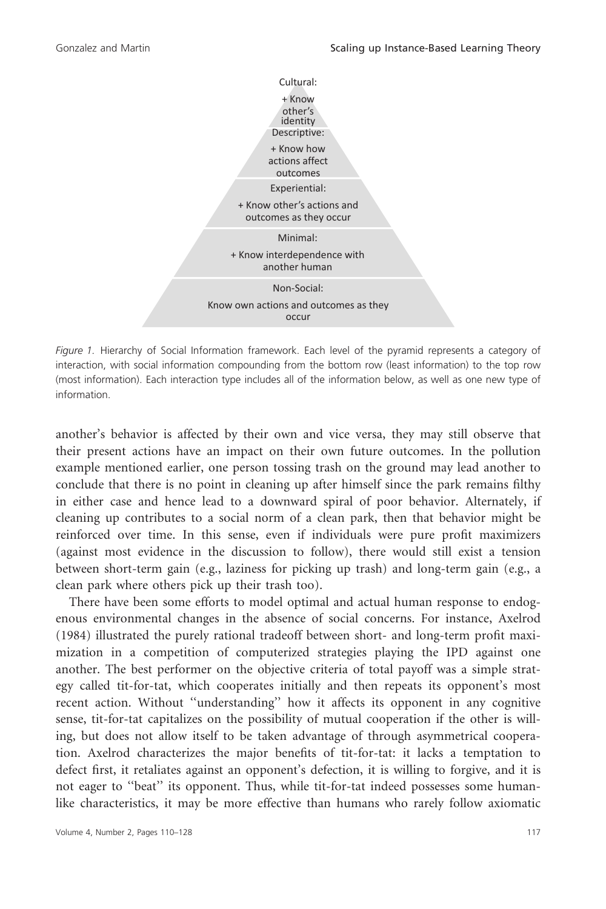

Figure 1. Hierarchy of Social Information framework. Each level of the pyramid represents a category of interaction, with social information compounding from the bottom row (least information) to the top row (most information). Each interaction type includes all of the information below, as well as one new type of information.

another's behavior is affected by their own and vice versa, they may still observe that their present actions have an impact on their own future outcomes. In the pollution example mentioned earlier, one person tossing trash on the ground may lead another to conclude that there is no point in cleaning up after himself since the park remains filthy in either case and hence lead to a downward spiral of poor behavior. Alternately, if cleaning up contributes to a social norm of a clean park, then that behavior might be reinforced over time. In this sense, even if individuals were pure profit maximizers (against most evidence in the discussion to follow), there would still exist a tension between short-term gain (e.g., laziness for picking up trash) and long-term gain (e.g., a clean park where others pick up their trash too).

There have been some efforts to model optimal and actual human response to endogenous environmental changes in the absence of social concerns. For instance, Axelrod (1984) illustrated the purely rational tradeoff between short- and long-term profit maximization in a competition of computerized strategies playing the IPD against one another. The best performer on the objective criteria of total payoff was a simple strategy called tit-for-tat, which cooperates initially and then repeats its opponent's most recent action. Without ''understanding'' how it affects its opponent in any cognitive sense, tit-for-tat capitalizes on the possibility of mutual cooperation if the other is willing, but does not allow itself to be taken advantage of through asymmetrical cooperation. Axelrod characterizes the major benefits of tit-for-tat: it lacks a temptation to defect first, it retaliates against an opponent's defection, it is willing to forgive, and it is not eager to ''beat'' its opponent. Thus, while tit-for-tat indeed possesses some humanlike characteristics, it may be more effective than humans who rarely follow axiomatic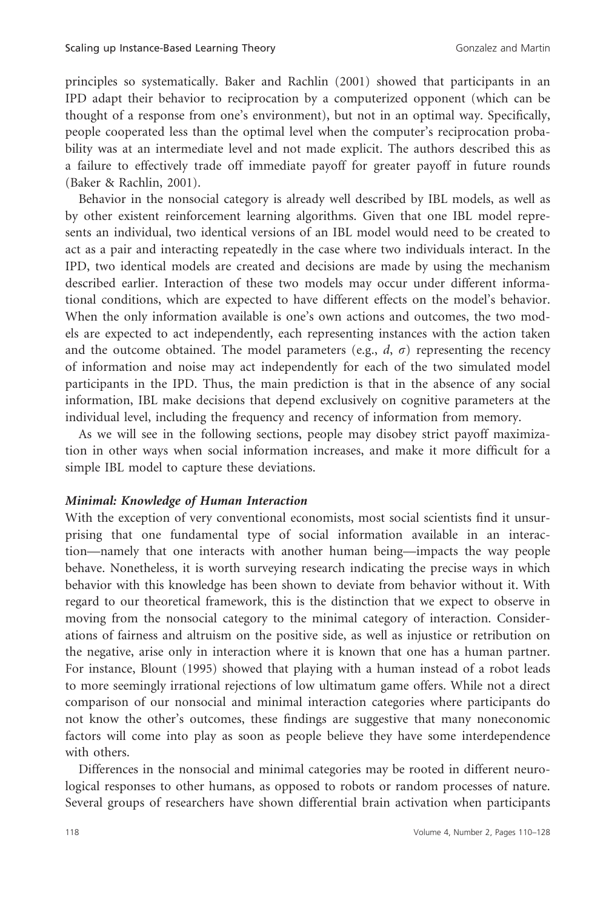principles so systematically. Baker and Rachlin (2001) showed that participants in an IPD adapt their behavior to reciprocation by a computerized opponent (which can be thought of a response from one's environment), but not in an optimal way. Specifically, people cooperated less than the optimal level when the computer's reciprocation probability was at an intermediate level and not made explicit. The authors described this as a failure to effectively trade off immediate payoff for greater payoff in future rounds (Baker & Rachlin, 2001).

Behavior in the nonsocial category is already well described by IBL models, as well as by other existent reinforcement learning algorithms. Given that one IBL model represents an individual, two identical versions of an IBL model would need to be created to act as a pair and interacting repeatedly in the case where two individuals interact. In the IPD, two identical models are created and decisions are made by using the mechanism described earlier. Interaction of these two models may occur under different informational conditions, which are expected to have different effects on the model's behavior. When the only information available is one's own actions and outcomes, the two models are expected to act independently, each representing instances with the action taken and the outcome obtained. The model parameters (e.g.,  $d$ ,  $\sigma$ ) representing the recency of information and noise may act independently for each of the two simulated model participants in the IPD. Thus, the main prediction is that in the absence of any social information, IBL make decisions that depend exclusively on cognitive parameters at the individual level, including the frequency and recency of information from memory.

As we will see in the following sections, people may disobey strict payoff maximization in other ways when social information increases, and make it more difficult for a simple IBL model to capture these deviations.

#### Minimal: Knowledge of Human Interaction

With the exception of very conventional economists, most social scientists find it unsurprising that one fundamental type of social information available in an interaction—namely that one interacts with another human being—impacts the way people behave. Nonetheless, it is worth surveying research indicating the precise ways in which behavior with this knowledge has been shown to deviate from behavior without it. With regard to our theoretical framework, this is the distinction that we expect to observe in moving from the nonsocial category to the minimal category of interaction. Considerations of fairness and altruism on the positive side, as well as injustice or retribution on the negative, arise only in interaction where it is known that one has a human partner. For instance, Blount (1995) showed that playing with a human instead of a robot leads to more seemingly irrational rejections of low ultimatum game offers. While not a direct comparison of our nonsocial and minimal interaction categories where participants do not know the other's outcomes, these findings are suggestive that many noneconomic factors will come into play as soon as people believe they have some interdependence with others.

Differences in the nonsocial and minimal categories may be rooted in different neurological responses to other humans, as opposed to robots or random processes of nature. Several groups of researchers have shown differential brain activation when participants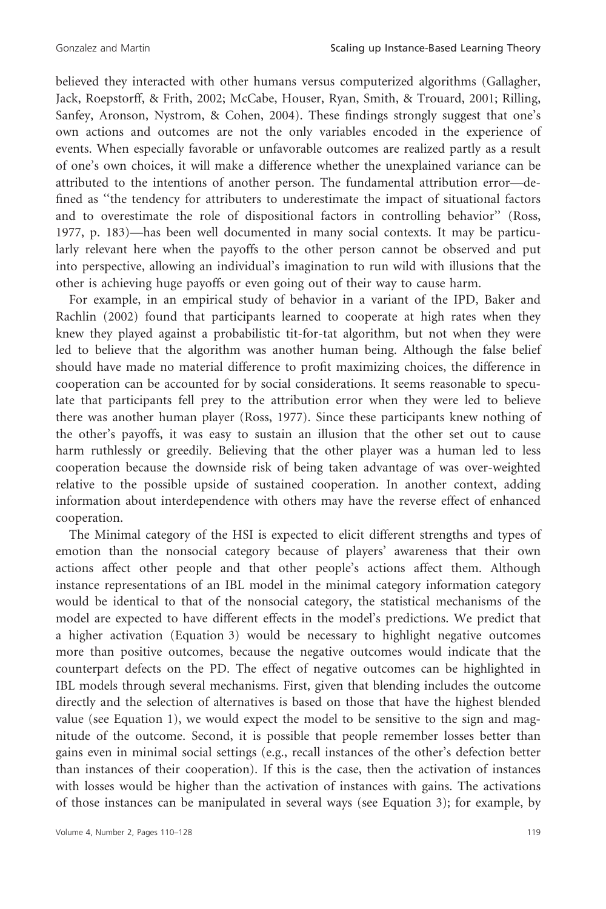believed they interacted with other humans versus computerized algorithms (Gallagher, Jack, Roepstorff, & Frith, 2002; McCabe, Houser, Ryan, Smith, & Trouard, 2001; Rilling, Sanfey, Aronson, Nystrom, & Cohen, 2004). These findings strongly suggest that one's own actions and outcomes are not the only variables encoded in the experience of events. When especially favorable or unfavorable outcomes are realized partly as a result of one's own choices, it will make a difference whether the unexplained variance can be attributed to the intentions of another person. The fundamental attribution error—defined as ''the tendency for attributers to underestimate the impact of situational factors and to overestimate the role of dispositional factors in controlling behavior'' (Ross, 1977, p. 183)—has been well documented in many social contexts. It may be particularly relevant here when the payoffs to the other person cannot be observed and put into perspective, allowing an individual's imagination to run wild with illusions that the other is achieving huge payoffs or even going out of their way to cause harm.

For example, in an empirical study of behavior in a variant of the IPD, Baker and Rachlin (2002) found that participants learned to cooperate at high rates when they knew they played against a probabilistic tit-for-tat algorithm, but not when they were led to believe that the algorithm was another human being. Although the false belief should have made no material difference to profit maximizing choices, the difference in cooperation can be accounted for by social considerations. It seems reasonable to speculate that participants fell prey to the attribution error when they were led to believe there was another human player (Ross, 1977). Since these participants knew nothing of the other's payoffs, it was easy to sustain an illusion that the other set out to cause harm ruthlessly or greedily. Believing that the other player was a human led to less cooperation because the downside risk of being taken advantage of was over-weighted relative to the possible upside of sustained cooperation. In another context, adding information about interdependence with others may have the reverse effect of enhanced cooperation.

The Minimal category of the HSI is expected to elicit different strengths and types of emotion than the nonsocial category because of players' awareness that their own actions affect other people and that other people's actions affect them. Although instance representations of an IBL model in the minimal category information category would be identical to that of the nonsocial category, the statistical mechanisms of the model are expected to have different effects in the model's predictions. We predict that a higher activation (Equation 3) would be necessary to highlight negative outcomes more than positive outcomes, because the negative outcomes would indicate that the counterpart defects on the PD. The effect of negative outcomes can be highlighted in IBL models through several mechanisms. First, given that blending includes the outcome directly and the selection of alternatives is based on those that have the highest blended value (see Equation 1), we would expect the model to be sensitive to the sign and magnitude of the outcome. Second, it is possible that people remember losses better than gains even in minimal social settings (e.g., recall instances of the other's defection better than instances of their cooperation). If this is the case, then the activation of instances with losses would be higher than the activation of instances with gains. The activations of those instances can be manipulated in several ways (see Equation 3); for example, by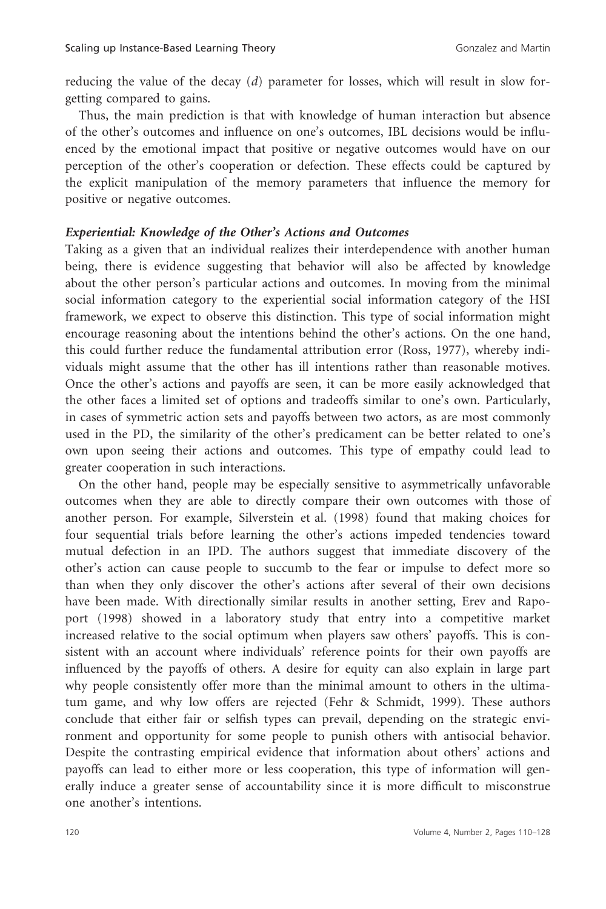reducing the value of the decay  $(d)$  parameter for losses, which will result in slow forgetting compared to gains.

Thus, the main prediction is that with knowledge of human interaction but absence of the other's outcomes and influence on one's outcomes, IBL decisions would be influenced by the emotional impact that positive or negative outcomes would have on our perception of the other's cooperation or defection. These effects could be captured by the explicit manipulation of the memory parameters that influence the memory for positive or negative outcomes.

#### Experiential: Knowledge of the Other's Actions and Outcomes

Taking as a given that an individual realizes their interdependence with another human being, there is evidence suggesting that behavior will also be affected by knowledge about the other person's particular actions and outcomes. In moving from the minimal social information category to the experiential social information category of the HSI framework, we expect to observe this distinction. This type of social information might encourage reasoning about the intentions behind the other's actions. On the one hand, this could further reduce the fundamental attribution error (Ross, 1977), whereby individuals might assume that the other has ill intentions rather than reasonable motives. Once the other's actions and payoffs are seen, it can be more easily acknowledged that the other faces a limited set of options and tradeoffs similar to one's own. Particularly, in cases of symmetric action sets and payoffs between two actors, as are most commonly used in the PD, the similarity of the other's predicament can be better related to one's own upon seeing their actions and outcomes. This type of empathy could lead to greater cooperation in such interactions.

On the other hand, people may be especially sensitive to asymmetrically unfavorable outcomes when they are able to directly compare their own outcomes with those of another person. For example, Silverstein et al. (1998) found that making choices for four sequential trials before learning the other's actions impeded tendencies toward mutual defection in an IPD. The authors suggest that immediate discovery of the other's action can cause people to succumb to the fear or impulse to defect more so than when they only discover the other's actions after several of their own decisions have been made. With directionally similar results in another setting, Erev and Rapoport (1998) showed in a laboratory study that entry into a competitive market increased relative to the social optimum when players saw others' payoffs. This is consistent with an account where individuals' reference points for their own payoffs are influenced by the payoffs of others. A desire for equity can also explain in large part why people consistently offer more than the minimal amount to others in the ultimatum game, and why low offers are rejected (Fehr & Schmidt, 1999). These authors conclude that either fair or selfish types can prevail, depending on the strategic environment and opportunity for some people to punish others with antisocial behavior. Despite the contrasting empirical evidence that information about others' actions and payoffs can lead to either more or less cooperation, this type of information will generally induce a greater sense of accountability since it is more difficult to misconstrue one another's intentions.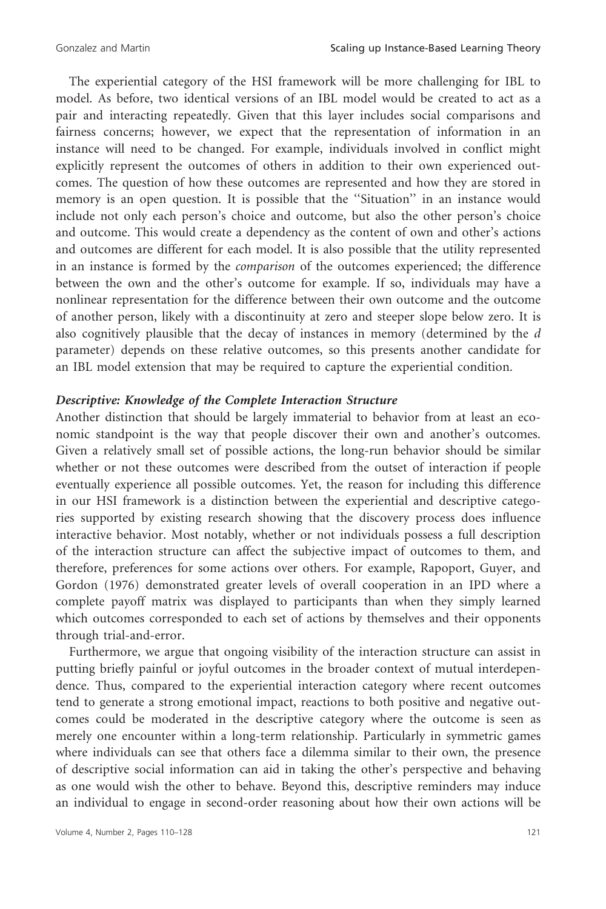The experiential category of the HSI framework will be more challenging for IBL to model. As before, two identical versions of an IBL model would be created to act as a pair and interacting repeatedly. Given that this layer includes social comparisons and fairness concerns; however, we expect that the representation of information in an instance will need to be changed. For example, individuals involved in conflict might explicitly represent the outcomes of others in addition to their own experienced outcomes. The question of how these outcomes are represented and how they are stored in memory is an open question. It is possible that the ''Situation'' in an instance would include not only each person's choice and outcome, but also the other person's choice and outcome. This would create a dependency as the content of own and other's actions and outcomes are different for each model. It is also possible that the utility represented in an instance is formed by the comparison of the outcomes experienced; the difference between the own and the other's outcome for example. If so, individuals may have a nonlinear representation for the difference between their own outcome and the outcome of another person, likely with a discontinuity at zero and steeper slope below zero. It is also cognitively plausible that the decay of instances in memory (determined by the d parameter) depends on these relative outcomes, so this presents another candidate for an IBL model extension that may be required to capture the experiential condition.

## Descriptive: Knowledge of the Complete Interaction Structure

Another distinction that should be largely immaterial to behavior from at least an economic standpoint is the way that people discover their own and another's outcomes. Given a relatively small set of possible actions, the long-run behavior should be similar whether or not these outcomes were described from the outset of interaction if people eventually experience all possible outcomes. Yet, the reason for including this difference in our HSI framework is a distinction between the experiential and descriptive categories supported by existing research showing that the discovery process does influence interactive behavior. Most notably, whether or not individuals possess a full description of the interaction structure can affect the subjective impact of outcomes to them, and therefore, preferences for some actions over others. For example, Rapoport, Guyer, and Gordon (1976) demonstrated greater levels of overall cooperation in an IPD where a complete payoff matrix was displayed to participants than when they simply learned which outcomes corresponded to each set of actions by themselves and their opponents through trial-and-error.

Furthermore, we argue that ongoing visibility of the interaction structure can assist in putting briefly painful or joyful outcomes in the broader context of mutual interdependence. Thus, compared to the experiential interaction category where recent outcomes tend to generate a strong emotional impact, reactions to both positive and negative outcomes could be moderated in the descriptive category where the outcome is seen as merely one encounter within a long-term relationship. Particularly in symmetric games where individuals can see that others face a dilemma similar to their own, the presence of descriptive social information can aid in taking the other's perspective and behaving as one would wish the other to behave. Beyond this, descriptive reminders may induce an individual to engage in second-order reasoning about how their own actions will be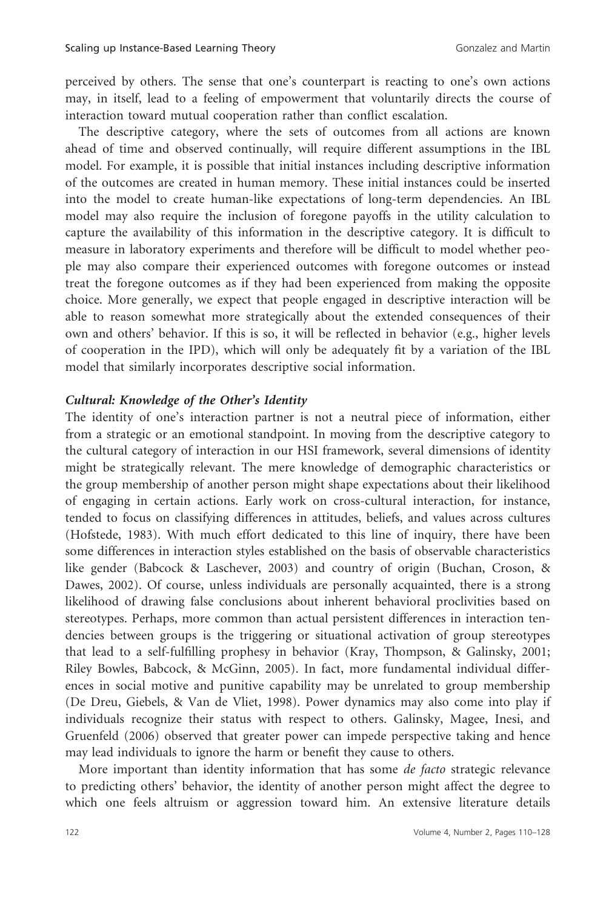perceived by others. The sense that one's counterpart is reacting to one's own actions may, in itself, lead to a feeling of empowerment that voluntarily directs the course of interaction toward mutual cooperation rather than conflict escalation.

The descriptive category, where the sets of outcomes from all actions are known ahead of time and observed continually, will require different assumptions in the IBL model. For example, it is possible that initial instances including descriptive information of the outcomes are created in human memory. These initial instances could be inserted into the model to create human-like expectations of long-term dependencies. An IBL model may also require the inclusion of foregone payoffs in the utility calculation to capture the availability of this information in the descriptive category. It is difficult to measure in laboratory experiments and therefore will be difficult to model whether people may also compare their experienced outcomes with foregone outcomes or instead treat the foregone outcomes as if they had been experienced from making the opposite choice. More generally, we expect that people engaged in descriptive interaction will be able to reason somewhat more strategically about the extended consequences of their own and others' behavior. If this is so, it will be reflected in behavior (e.g., higher levels of cooperation in the IPD), which will only be adequately fit by a variation of the IBL model that similarly incorporates descriptive social information.

## Cultural: Knowledge of the Other's Identity

The identity of one's interaction partner is not a neutral piece of information, either from a strategic or an emotional standpoint. In moving from the descriptive category to the cultural category of interaction in our HSI framework, several dimensions of identity might be strategically relevant. The mere knowledge of demographic characteristics or the group membership of another person might shape expectations about their likelihood of engaging in certain actions. Early work on cross-cultural interaction, for instance, tended to focus on classifying differences in attitudes, beliefs, and values across cultures (Hofstede, 1983). With much effort dedicated to this line of inquiry, there have been some differences in interaction styles established on the basis of observable characteristics like gender (Babcock & Laschever, 2003) and country of origin (Buchan, Croson, & Dawes, 2002). Of course, unless individuals are personally acquainted, there is a strong likelihood of drawing false conclusions about inherent behavioral proclivities based on stereotypes. Perhaps, more common than actual persistent differences in interaction tendencies between groups is the triggering or situational activation of group stereotypes that lead to a self-fulfilling prophesy in behavior (Kray, Thompson, & Galinsky, 2001; Riley Bowles, Babcock, & McGinn, 2005). In fact, more fundamental individual differences in social motive and punitive capability may be unrelated to group membership (De Dreu, Giebels, & Van de Vliet, 1998). Power dynamics may also come into play if individuals recognize their status with respect to others. Galinsky, Magee, Inesi, and Gruenfeld (2006) observed that greater power can impede perspective taking and hence may lead individuals to ignore the harm or benefit they cause to others.

More important than identity information that has some de facto strategic relevance to predicting others' behavior, the identity of another person might affect the degree to which one feels altruism or aggression toward him. An extensive literature details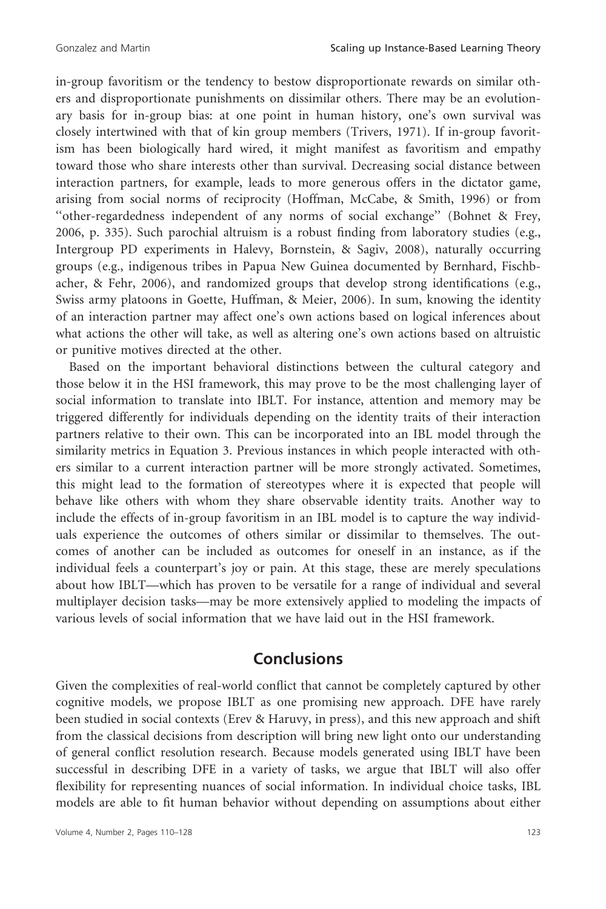in-group favoritism or the tendency to bestow disproportionate rewards on similar others and disproportionate punishments on dissimilar others. There may be an evolutionary basis for in-group bias: at one point in human history, one's own survival was closely intertwined with that of kin group members (Trivers, 1971). If in-group favoritism has been biologically hard wired, it might manifest as favoritism and empathy toward those who share interests other than survival. Decreasing social distance between interaction partners, for example, leads to more generous offers in the dictator game, arising from social norms of reciprocity (Hoffman, McCabe, & Smith, 1996) or from ''other-regardedness independent of any norms of social exchange'' (Bohnet & Frey, 2006, p. 335). Such parochial altruism is a robust finding from laboratory studies (e.g., Intergroup PD experiments in Halevy, Bornstein, & Sagiv, 2008), naturally occurring groups (e.g., indigenous tribes in Papua New Guinea documented by Bernhard, Fischbacher, & Fehr, 2006), and randomized groups that develop strong identifications (e.g., Swiss army platoons in Goette, Huffman, & Meier, 2006). In sum, knowing the identity of an interaction partner may affect one's own actions based on logical inferences about what actions the other will take, as well as altering one's own actions based on altruistic or punitive motives directed at the other.

Based on the important behavioral distinctions between the cultural category and those below it in the HSI framework, this may prove to be the most challenging layer of social information to translate into IBLT. For instance, attention and memory may be triggered differently for individuals depending on the identity traits of their interaction partners relative to their own. This can be incorporated into an IBL model through the similarity metrics in Equation 3. Previous instances in which people interacted with others similar to a current interaction partner will be more strongly activated. Sometimes, this might lead to the formation of stereotypes where it is expected that people will behave like others with whom they share observable identity traits. Another way to include the effects of in-group favoritism in an IBL model is to capture the way individuals experience the outcomes of others similar or dissimilar to themselves. The outcomes of another can be included as outcomes for oneself in an instance, as if the individual feels a counterpart's joy or pain. At this stage, these are merely speculations about how IBLT—which has proven to be versatile for a range of individual and several multiplayer decision tasks—may be more extensively applied to modeling the impacts of various levels of social information that we have laid out in the HSI framework.

# **Conclusions**

Given the complexities of real-world conflict that cannot be completely captured by other cognitive models, we propose IBLT as one promising new approach. DFE have rarely been studied in social contexts (Erev & Haruvy, in press), and this new approach and shift from the classical decisions from description will bring new light onto our understanding of general conflict resolution research. Because models generated using IBLT have been successful in describing DFE in a variety of tasks, we argue that IBLT will also offer flexibility for representing nuances of social information. In individual choice tasks, IBL models are able to fit human behavior without depending on assumptions about either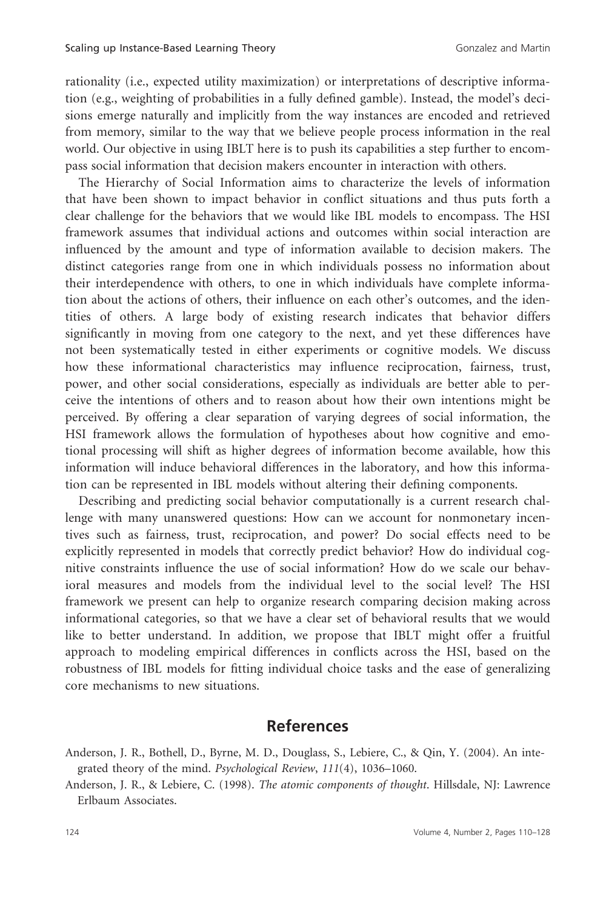rationality (i.e., expected utility maximization) or interpretations of descriptive information (e.g., weighting of probabilities in a fully defined gamble). Instead, the model's decisions emerge naturally and implicitly from the way instances are encoded and retrieved from memory, similar to the way that we believe people process information in the real world. Our objective in using IBLT here is to push its capabilities a step further to encompass social information that decision makers encounter in interaction with others.

The Hierarchy of Social Information aims to characterize the levels of information that have been shown to impact behavior in conflict situations and thus puts forth a clear challenge for the behaviors that we would like IBL models to encompass. The HSI framework assumes that individual actions and outcomes within social interaction are influenced by the amount and type of information available to decision makers. The distinct categories range from one in which individuals possess no information about their interdependence with others, to one in which individuals have complete information about the actions of others, their influence on each other's outcomes, and the identities of others. A large body of existing research indicates that behavior differs significantly in moving from one category to the next, and yet these differences have not been systematically tested in either experiments or cognitive models. We discuss how these informational characteristics may influence reciprocation, fairness, trust, power, and other social considerations, especially as individuals are better able to perceive the intentions of others and to reason about how their own intentions might be perceived. By offering a clear separation of varying degrees of social information, the HSI framework allows the formulation of hypotheses about how cognitive and emotional processing will shift as higher degrees of information become available, how this information will induce behavioral differences in the laboratory, and how this information can be represented in IBL models without altering their defining components.

Describing and predicting social behavior computationally is a current research challenge with many unanswered questions: How can we account for nonmonetary incentives such as fairness, trust, reciprocation, and power? Do social effects need to be explicitly represented in models that correctly predict behavior? How do individual cognitive constraints influence the use of social information? How do we scale our behavioral measures and models from the individual level to the social level? The HSI framework we present can help to organize research comparing decision making across informational categories, so that we have a clear set of behavioral results that we would like to better understand. In addition, we propose that IBLT might offer a fruitful approach to modeling empirical differences in conflicts across the HSI, based on the robustness of IBL models for fitting individual choice tasks and the ease of generalizing core mechanisms to new situations.

# References

Anderson, J. R., Bothell, D., Byrne, M. D., Douglass, S., Lebiere, C., & Qin, Y. (2004). An integrated theory of the mind. Psychological Review, 111(4), 1036–1060.

Anderson, J. R., & Lebiere, C. (1998). The atomic components of thought. Hillsdale, NJ: Lawrence Erlbaum Associates.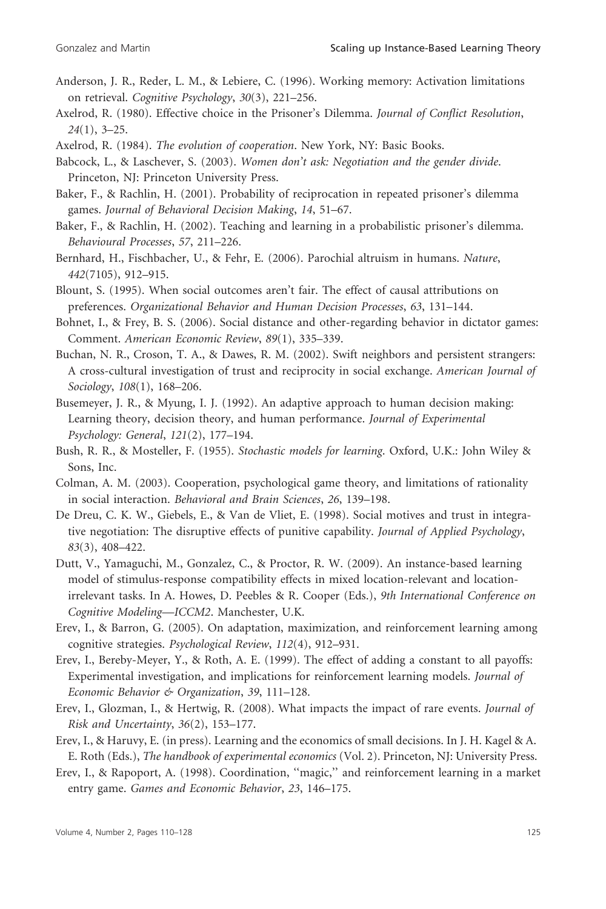- Anderson, J. R., Reder, L. M., & Lebiere, C. (1996). Working memory: Activation limitations on retrieval. Cognitive Psychology, 30(3), 221–256.
- Axelrod, R. (1980). Effective choice in the Prisoner's Dilemma. Journal of Conflict Resolution, 24(1), 3–25.
- Axelrod, R. (1984). The evolution of cooperation. New York, NY: Basic Books.
- Babcock, L., & Laschever, S. (2003). Women don't ask: Negotiation and the gender divide. Princeton, NJ: Princeton University Press.
- Baker, F., & Rachlin, H. (2001). Probability of reciprocation in repeated prisoner's dilemma games. Journal of Behavioral Decision Making, 14, 51–67.
- Baker, F., & Rachlin, H. (2002). Teaching and learning in a probabilistic prisoner's dilemma. Behavioural Processes, 57, 211–226.
- Bernhard, H., Fischbacher, U., & Fehr, E. (2006). Parochial altruism in humans. Nature, 442(7105), 912–915.
- Blount, S. (1995). When social outcomes aren't fair. The effect of causal attributions on preferences. Organizational Behavior and Human Decision Processes, 63, 131–144.
- Bohnet, I., & Frey, B. S. (2006). Social distance and other-regarding behavior in dictator games: Comment. American Economic Review, 89(1), 335–339.
- Buchan, N. R., Croson, T. A., & Dawes, R. M. (2002). Swift neighbors and persistent strangers: A cross-cultural investigation of trust and reciprocity in social exchange. American Journal of Sociology, 108(1), 168–206.
- Busemeyer, J. R., & Myung, I. J. (1992). An adaptive approach to human decision making: Learning theory, decision theory, and human performance. Journal of Experimental Psychology: General, 121(2), 177–194.
- Bush, R. R., & Mosteller, F. (1955). Stochastic models for learning. Oxford, U.K.: John Wiley & Sons, Inc.
- Colman, A. M. (2003). Cooperation, psychological game theory, and limitations of rationality in social interaction. Behavioral and Brain Sciences, 26, 139–198.
- De Dreu, C. K. W., Giebels, E., & Van de Vliet, E. (1998). Social motives and trust in integrative negotiation: The disruptive effects of punitive capability. Journal of Applied Psychology, 83(3), 408–422.
- Dutt, V., Yamaguchi, M., Gonzalez, C., & Proctor, R. W. (2009). An instance-based learning model of stimulus-response compatibility effects in mixed location-relevant and locationirrelevant tasks. In A. Howes, D. Peebles & R. Cooper (Eds.), 9th International Conference on Cognitive Modeling—ICCM2. Manchester, U.K.
- Erev, I., & Barron, G. (2005). On adaptation, maximization, and reinforcement learning among cognitive strategies. Psychological Review, 112(4), 912–931.
- Erev, I., Bereby-Meyer, Y., & Roth, A. E. (1999). The effect of adding a constant to all payoffs: Experimental investigation, and implications for reinforcement learning models. Journal of Economic Behavior & Organization, 39, 111–128.
- Erev, I., Glozman, I., & Hertwig, R. (2008). What impacts the impact of rare events. Journal of Risk and Uncertainty, 36(2), 153–177.
- Erev, I., & Haruvy, E. (in press). Learning and the economics of small decisions. In J. H. Kagel & A. E. Roth (Eds.), The handbook of experimental economics (Vol. 2). Princeton, NJ: University Press.
- Erev, I., & Rapoport, A. (1998). Coordination, ''magic,'' and reinforcement learning in a market entry game. Games and Economic Behavior, 23, 146–175.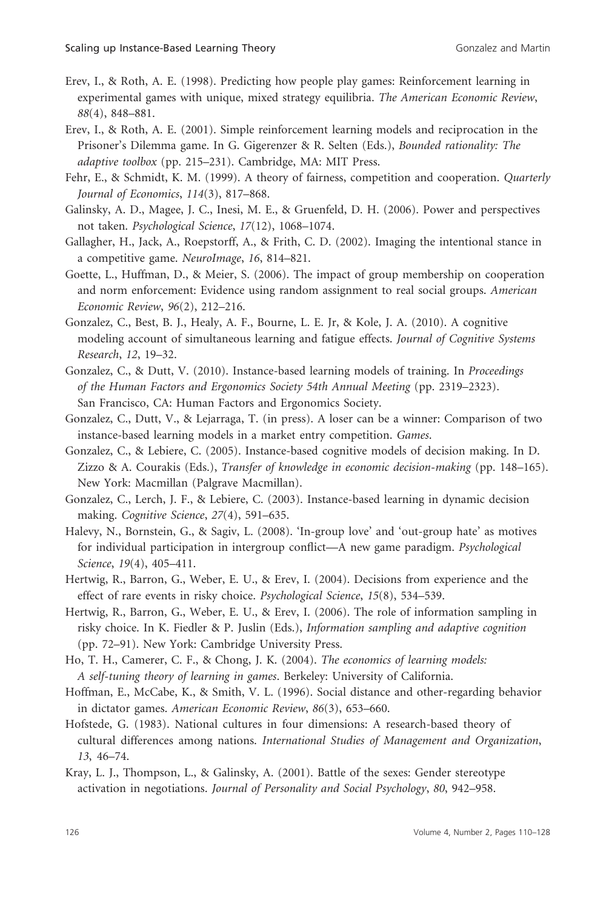- Erev, I., & Roth, A. E. (1998). Predicting how people play games: Reinforcement learning in experimental games with unique, mixed strategy equilibria. The American Economic Review, 88(4), 848–881.
- Erev, I., & Roth, A. E. (2001). Simple reinforcement learning models and reciprocation in the Prisoner's Dilemma game. In G. Gigerenzer & R. Selten (Eds.), Bounded rationality: The adaptive toolbox (pp. 215–231). Cambridge, MA: MIT Press.
- Fehr, E., & Schmidt, K. M. (1999). A theory of fairness, competition and cooperation. Quarterly Journal of Economics, 114(3), 817–868.
- Galinsky, A. D., Magee, J. C., Inesi, M. E., & Gruenfeld, D. H. (2006). Power and perspectives not taken. Psychological Science, 17(12), 1068–1074.
- Gallagher, H., Jack, A., Roepstorff, A., & Frith, C. D. (2002). Imaging the intentional stance in a competitive game. NeuroImage, 16, 814–821.
- Goette, L., Huffman, D., & Meier, S. (2006). The impact of group membership on cooperation and norm enforcement: Evidence using random assignment to real social groups. American Economic Review, 96(2), 212–216.
- Gonzalez, C., Best, B. J., Healy, A. F., Bourne, L. E. Jr, & Kole, J. A. (2010). A cognitive modeling account of simultaneous learning and fatigue effects. Journal of Cognitive Systems Research, 12, 19–32.
- Gonzalez, C., & Dutt, V. (2010). Instance-based learning models of training. In Proceedings of the Human Factors and Ergonomics Society 54th Annual Meeting (pp. 2319–2323). San Francisco, CA: Human Factors and Ergonomics Society.
- Gonzalez, C., Dutt, V., & Lejarraga, T. (in press). A loser can be a winner: Comparison of two instance-based learning models in a market entry competition. Games.
- Gonzalez, C., & Lebiere, C. (2005). Instance-based cognitive models of decision making. In D. Zizzo & A. Courakis (Eds.), Transfer of knowledge in economic decision-making (pp. 148–165). New York: Macmillan (Palgrave Macmillan).
- Gonzalez, C., Lerch, J. F., & Lebiere, C. (2003). Instance-based learning in dynamic decision making. Cognitive Science, 27(4), 591–635.
- Halevy, N., Bornstein, G., & Sagiv, L. (2008). 'In-group love' and 'out-group hate' as motives for individual participation in intergroup conflict—A new game paradigm. Psychological Science, 19(4), 405–411.
- Hertwig, R., Barron, G., Weber, E. U., & Erev, I. (2004). Decisions from experience and the effect of rare events in risky choice. Psychological Science, 15(8), 534–539.
- Hertwig, R., Barron, G., Weber, E. U., & Erev, I. (2006). The role of information sampling in risky choice. In K. Fiedler & P. Juslin (Eds.), Information sampling and adaptive cognition (pp. 72–91). New York: Cambridge University Press.
- Ho, T. H., Camerer, C. F., & Chong, J. K. (2004). The economics of learning models: A self-tuning theory of learning in games. Berkeley: University of California.
- Hoffman, E., McCabe, K., & Smith, V. L. (1996). Social distance and other-regarding behavior in dictator games. American Economic Review, 86(3), 653–660.
- Hofstede, G. (1983). National cultures in four dimensions: A research-based theory of cultural differences among nations. International Studies of Management and Organization, 13, 46–74.
- Kray, L. J., Thompson, L., & Galinsky, A. (2001). Battle of the sexes: Gender stereotype activation in negotiations. Journal of Personality and Social Psychology, 80, 942–958.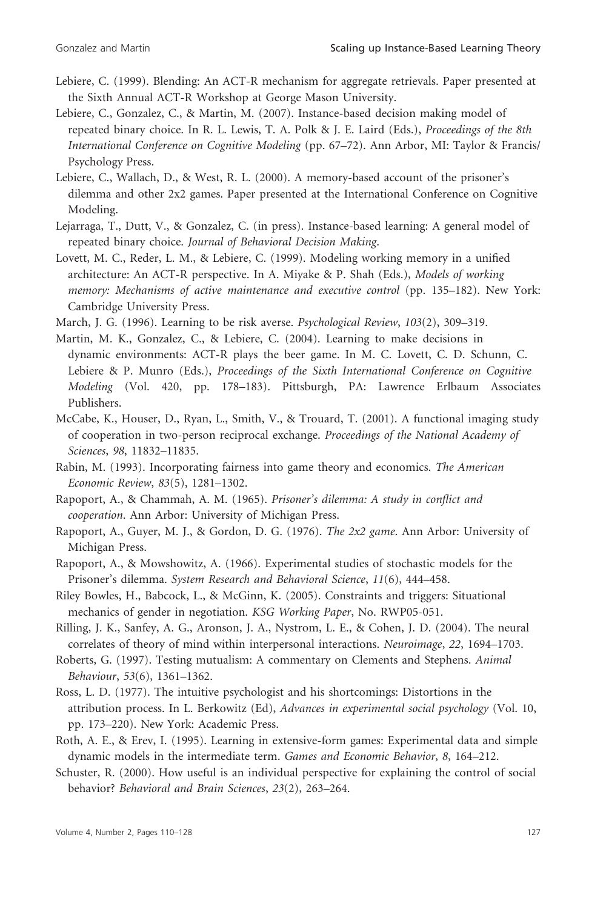- Lebiere, C. (1999). Blending: An ACT-R mechanism for aggregate retrievals. Paper presented at the Sixth Annual ACT-R Workshop at George Mason University.
- Lebiere, C., Gonzalez, C., & Martin, M. (2007). Instance-based decision making model of repeated binary choice. In R. L. Lewis, T. A. Polk & J. E. Laird (Eds.), *Proceedings of the 8th* International Conference on Cognitive Modeling (pp. 67–72). Ann Arbor, MI: Taylor & Francis/ Psychology Press.
- Lebiere, C., Wallach, D., & West, R. L. (2000). A memory-based account of the prisoner's dilemma and other 2x2 games. Paper presented at the International Conference on Cognitive Modeling.
- Lejarraga, T., Dutt, V., & Gonzalez, C. (in press). Instance-based learning: A general model of repeated binary choice. Journal of Behavioral Decision Making.
- Lovett, M. C., Reder, L. M., & Lebiere, C. (1999). Modeling working memory in a unified architecture: An ACT-R perspective. In A. Miyake & P. Shah (Eds.), Models of working memory: Mechanisms of active maintenance and executive control (pp. 135–182). New York: Cambridge University Press.
- March, J. G. (1996). Learning to be risk averse. Psychological Review, 103(2), 309–319.
- Martin, M. K., Gonzalez, C., & Lebiere, C. (2004). Learning to make decisions in dynamic environments: ACT-R plays the beer game. In M. C. Lovett, C. D. Schunn, C. Lebiere & P. Munro (Eds.), Proceedings of the Sixth International Conference on Cognitive Modeling (Vol. 420, pp. 178–183). Pittsburgh, PA: Lawrence Erlbaum Associates Publishers.
- McCabe, K., Houser, D., Ryan, L., Smith, V., & Trouard, T. (2001). A functional imaging study of cooperation in two-person reciprocal exchange. Proceedings of the National Academy of Sciences, 98, 11832–11835.
- Rabin, M. (1993). Incorporating fairness into game theory and economics. The American Economic Review, 83(5), 1281–1302.
- Rapoport, A., & Chammah, A. M. (1965). Prisoner's dilemma: A study in conflict and cooperation. Ann Arbor: University of Michigan Press.
- Rapoport, A., Guyer, M. J., & Gordon, D. G. (1976). The 2x2 game. Ann Arbor: University of Michigan Press.
- Rapoport, A., & Mowshowitz, A. (1966). Experimental studies of stochastic models for the Prisoner's dilemma. System Research and Behavioral Science, 11(6), 444–458.
- Riley Bowles, H., Babcock, L., & McGinn, K. (2005). Constraints and triggers: Situational mechanics of gender in negotiation. KSG Working Paper, No. RWP05-051.
- Rilling, J. K., Sanfey, A. G., Aronson, J. A., Nystrom, L. E., & Cohen, J. D. (2004). The neural correlates of theory of mind within interpersonal interactions. Neuroimage, 22, 1694–1703.
- Roberts, G. (1997). Testing mutualism: A commentary on Clements and Stephens. Animal Behaviour, 53(6), 1361–1362.
- Ross, L. D. (1977). The intuitive psychologist and his shortcomings: Distortions in the attribution process. In L. Berkowitz (Ed), Advances in experimental social psychology (Vol. 10, pp. 173–220). New York: Academic Press.
- Roth, A. E., & Erev, I. (1995). Learning in extensive-form games: Experimental data and simple dynamic models in the intermediate term. Games and Economic Behavior, 8, 164–212.
- Schuster, R. (2000). How useful is an individual perspective for explaining the control of social behavior? Behavioral and Brain Sciences, 23(2), 263–264.